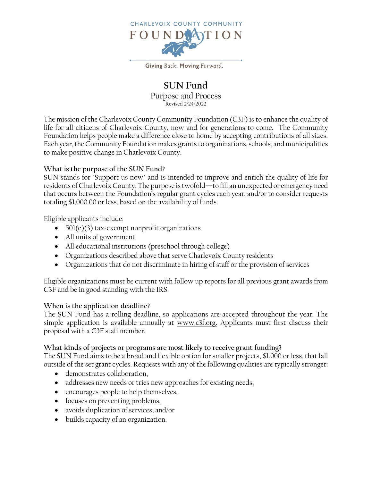

Giving Back. Moving Forward.

## **SUN Fund** Purpose and Process Revised 2/24/2022

The mission of the Charlevoix County Community Foundation (C3F) is to enhance the quality of life for all citizens of Charlevoix County, now and for generations to come. The Community Foundation helps people make a difference close to home by accepting contributions of all sizes. Each year, the Community Foundation makes grants to organizations, schools, and municipalities to make positive change in Charlevoix County.

## **What is the purpose of the SUN Fund?**

SUN stands for "Support us now" and is intended to improve and enrich the quality of life for residents of Charlevoix County. The purpose is twofold—to fill an unexpected or emergency need that occurs between the Foundation's regular grant cycles each year, and/or to consider requests totaling \$1,000.00 or less, based on the availability of funds.

Eligible applicants include:

- $501(c)(3)$  tax-exempt nonprofit organizations
- All units of government
- All educational institutions (preschool through college)
- Organizations described above that serve Charlevoix County residents
- Organizations that do not discriminate in hiring of staff or the provision of services

Eligible organizations must be current with follow up reports for all previous grant awards from C3F and be in good standing with the IRS.

## **When is the application deadline?**

The SUN Fund has a rolling deadline, so applications are accepted throughout the year. The simple application is available annually at [www.c3f.org.](http://www.c3f.org/) Applicants must first discuss their proposal with a C3F staff member.

## **What kinds of projects or programs are most likely to receive grant funding?**

The SUN Fund aims to be a broad and flexible option for smaller projects, \$1,000 or less, that fall outside of the set grant cycles. Requests with any of the following qualities are typically stronger:

- demonstrates collaboration,
- addresses new needs or tries new approaches for existing needs,
- encourages people to help themselves,
- focuses on preventing problems,
- avoids duplication of services, and/or
- builds capacity of an organization.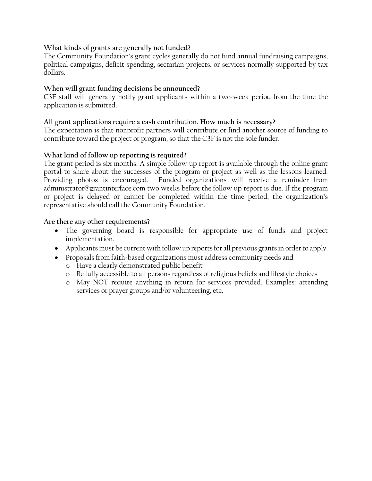## **What kinds of grants are generally not funded?**

The Community Foundation's grant cycles generally do not fund annual fundraising campaigns, political campaigns, deficit spending, sectarian projects, or services normally supported by tax dollars.

## **When will grant funding decisions be announced?**

C3F staff will generally notify grant applicants within a two-week period from the time the application is submitted.

#### **All grant applications require a cash contribution. How much is necessary?**

The expectation is that nonprofit partners will contribute or find another source of funding to contribute toward the project or program, so that the C3F is not the sole funder.

#### **What kind of follow up reporting is required?**

The grant period is six months. A simple follow up report is available through the online grant portal to share about the successes of the program or project as well as the lessons learned. Providing photos is encouraged. Funded organizations will receive a reminder from [administrator@grantinterface.com](mailto:administrator@grantinterface.com) two weeks before the follow up report is due. If the program or project is delayed or cannot be completed within the time period, the organization's representative should call the Community Foundation.

#### **Are there any other requirements?**

- The governing board is responsible for appropriate use of funds and project implementation.
- Applicants must be current with follow up reports for all previous grants in order to apply.
- Proposals from faith-based organizations must address community needs and
	- o Have a clearly demonstrated public benefit
	- o Be fully accessible to all persons regardless of religious beliefs and lifestyle choices
	- o May NOT require anything in return for services provided. Examples: attending services or prayer groups and/or volunteering, etc.